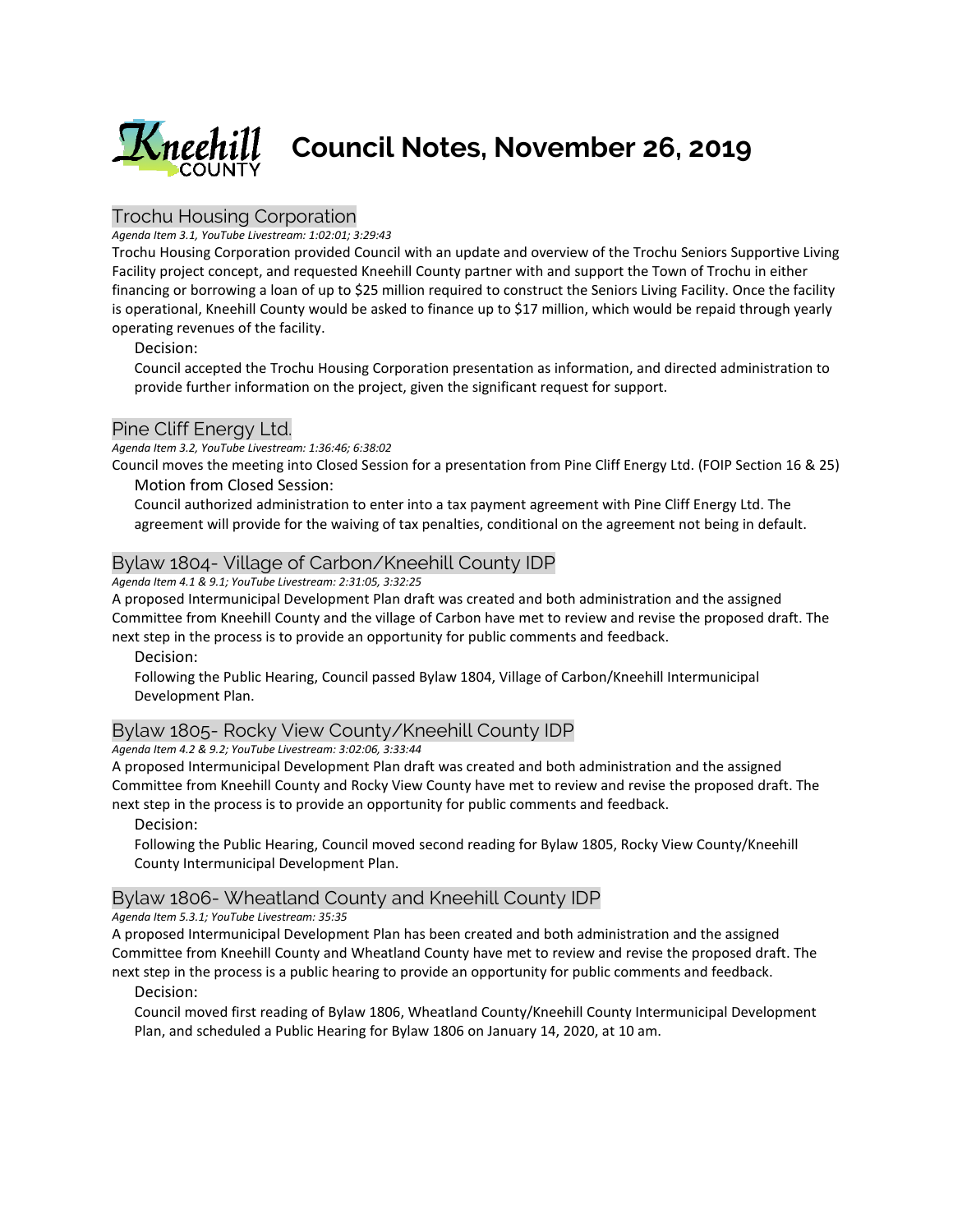

# Trochu Housing Corporation

#### *Agenda Item 3.1, YouTube Livestream: 1:02:01; 3:29:43*

Trochu Housing Corporation provided Council with an update and overview of the Trochu Seniors Supportive Living Facility project concept, and requested Kneehill County partner with and support the Town of Trochu in either financing or borrowing a loan of up to \$25 million required to construct the Seniors Living Facility. Once the facility is operational, Kneehill County would be asked to finance up to \$17 million, which would be repaid through yearly operating revenues of the facility.

Decision:

Council accepted the Trochu Housing Corporation presentation as information, and directed administration to provide further information on the project, given the significant request for support.

#### Pine Cliff Energy Ltd.

*Agenda Item 3.2, YouTube Livestream: 1:36:46; 6:38:02* 

Council moves the meeting into Closed Session for a presentation from Pine Cliff Energy Ltd. (FOIP Section 16 & 25) Motion from Closed Session:

Council authorized administration to enter into a tax payment agreement with Pine Cliff Energy Ltd. The agreement will provide for the waiving of tax penalties, conditional on the agreement not being in default.

#### Bylaw 1804- Village of Carbon/Kneehill County IDP

*Agenda Item 4.1 & 9.1; YouTube Livestream: 2:31:05, 3:32:25*

A proposed Intermunicipal Development Plan draft was created and both administration and the assigned Committee from Kneehill County and the village of Carbon have met to review and revise the proposed draft. The next step in the process is to provide an opportunity for public comments and feedback.

Decision:

Following the Public Hearing, Council passed Bylaw 1804, Village of Carbon/Kneehill Intermunicipal Development Plan.

# Bylaw 1805- Rocky View County/Kneehill County IDP

*Agenda Item 4.2 & 9.2; YouTube Livestream: 3:02:06, 3:33:44*

A proposed Intermunicipal Development Plan draft was created and both administration and the assigned Committee from Kneehill County and Rocky View County have met to review and revise the proposed draft. The next step in the process is to provide an opportunity for public comments and feedback.

Decision:

Following the Public Hearing, Council moved second reading for Bylaw 1805, Rocky View County/Kneehill County Intermunicipal Development Plan.

## Bylaw 1806- Wheatland County and Kneehill County IDP

*Agenda Item 5.3.1; YouTube Livestream: 35:35*

A proposed Intermunicipal Development Plan has been created and both administration and the assigned Committee from Kneehill County and Wheatland County have met to review and revise the proposed draft. The next step in the process is a public hearing to provide an opportunity for public comments and feedback.

Decision:

Council moved first reading of Bylaw 1806, Wheatland County/Kneehill County Intermunicipal Development Plan, and scheduled a Public Hearing for Bylaw 1806 on January 14, 2020, at 10 am.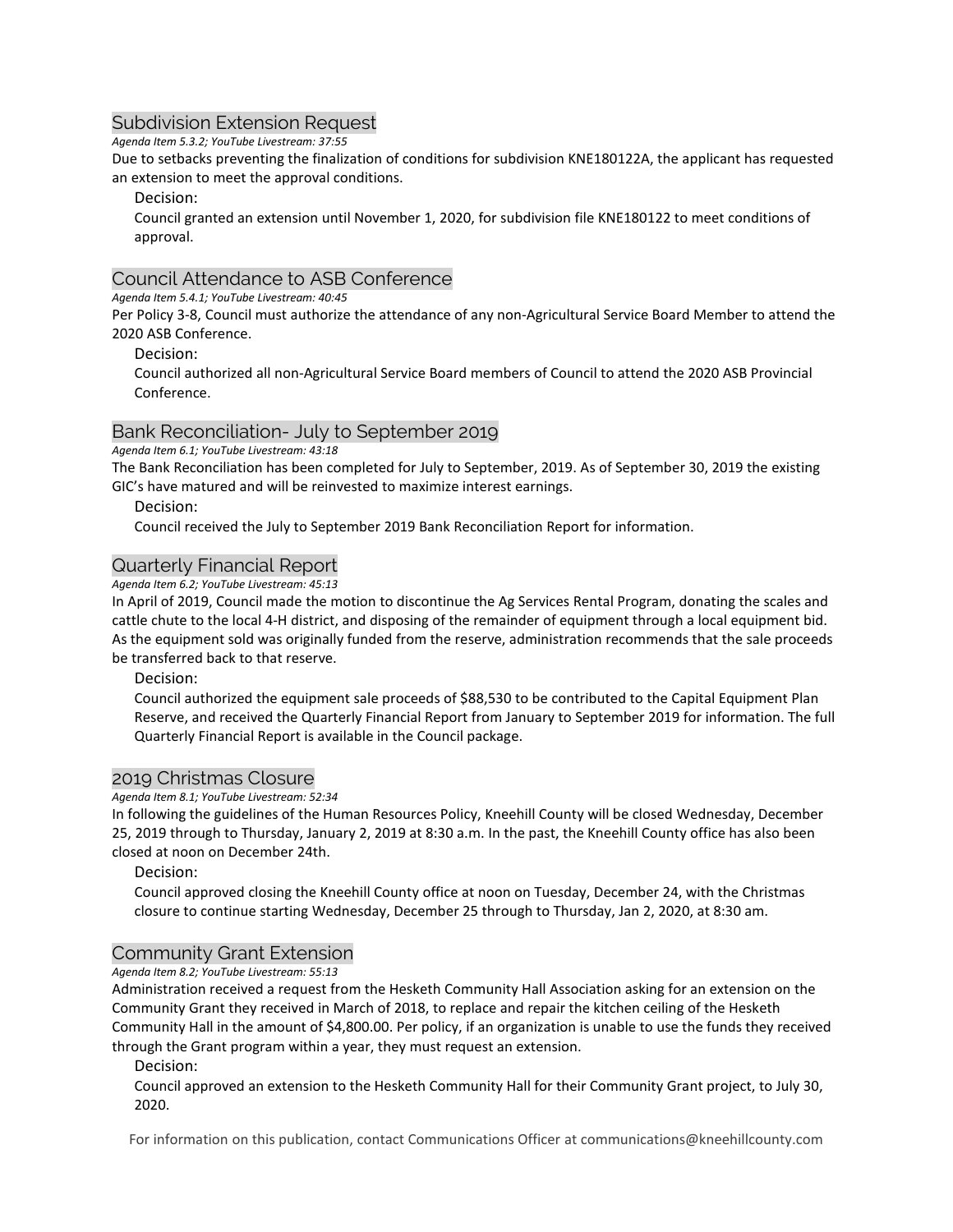## Subdivision Extension Request

*Agenda Item 5.3.2; YouTube Livestream: 37:55*

Due to setbacks preventing the finalization of conditions for subdivision KNE180122A, the applicant has requested an extension to meet the approval conditions.

Decision:

Council granted an extension until November 1, 2020, for subdivision file KNE180122 to meet conditions of approval.

#### Council Attendance to ASB Conference

*Agenda Item 5.4.1; YouTube Livestream: 40:45*

Per Policy 3-8, Council must authorize the attendance of any non-Agricultural Service Board Member to attend the 2020 ASB Conference.

#### Decision:

Council authorized all non-Agricultural Service Board members of Council to attend the 2020 ASB Provincial Conference.

## Bank Reconciliation- July to September 2019

*Agenda Item 6.1; YouTube Livestream: 43:18*

The Bank Reconciliation has been completed for July to September, 2019. As of September 30, 2019 the existing GIC's have matured and will be reinvested to maximize interest earnings.

#### Decision:

Council received the July to September 2019 Bank Reconciliation Report for information.

## Quarterly Financial Report

*Agenda Item 6.2; YouTube Livestream: 45:13*

In April of 2019, Council made the motion to discontinue the Ag Services Rental Program, donating the scales and cattle chute to the local 4-H district, and disposing of the remainder of equipment through a local equipment bid. As the equipment sold was originally funded from the reserve, administration recommends that the sale proceeds be transferred back to that reserve.

Decision:

Council authorized the equipment sale proceeds of \$88,530 to be contributed to the Capital Equipment Plan Reserve, and received the Quarterly Financial Report from January to September 2019 for information. The full Quarterly Financial Report is available in the Council package.

#### 2019 Christmas Closure

*Agenda Item 8.1; YouTube Livestream: 52:34*

In following the guidelines of the Human Resources Policy, Kneehill County will be closed Wednesday, December 25, 2019 through to Thursday, January 2, 2019 at 8:30 a.m. In the past, the Kneehill County office has also been closed at noon on December 24th.

#### Decision:

Council approved closing the Kneehill County office at noon on Tuesday, December 24, with the Christmas closure to continue starting Wednesday, December 25 through to Thursday, Jan 2, 2020, at 8:30 am.

## Community Grant Extension

*Agenda Item 8.2; YouTube Livestream: 55:13*

Administration received a request from the Hesketh Community Hall Association asking for an extension on the Community Grant they received in March of 2018, to replace and repair the kitchen ceiling of the Hesketh Community Hall in the amount of \$4,800.00. Per policy, if an organization is unable to use the funds they received through the Grant program within a year, they must request an extension.

Decision:

Council approved an extension to the Hesketh Community Hall for their Community Grant project, to July 30, 2020.

For information on this publication, contact Communications Officer at communications@kneehillcounty.com